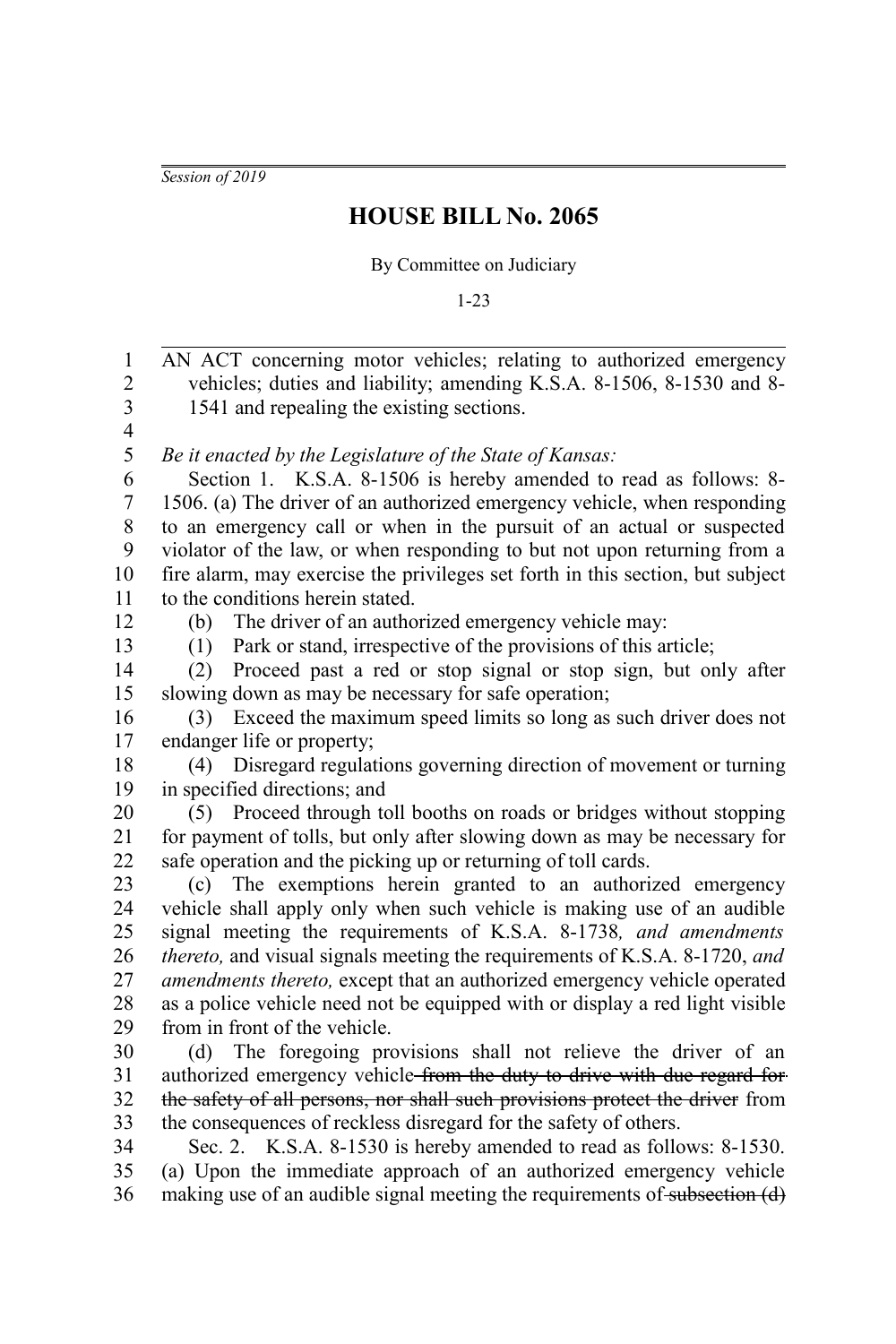*Session of 2019*

## **HOUSE BILL No. 2065**

## By Committee on Judiciary

1-23

AN ACT concerning motor vehicles; relating to authorized emergency vehicles; duties and liability; amending K.S.A. 8-1506, 8-1530 and 8- 1541 and repealing the existing sections. *Be it enacted by the Legislature of the State of Kansas:* Section 1. K.S.A. 8-1506 is hereby amended to read as follows: 8- 1506. (a) The driver of an authorized emergency vehicle, when responding to an emergency call or when in the pursuit of an actual or suspected violator of the law, or when responding to but not upon returning from a fire alarm, may exercise the privileges set forth in this section, but subject to the conditions herein stated. (b) The driver of an authorized emergency vehicle may: (1) Park or stand, irrespective of the provisions of this article; (2) Proceed past a red or stop signal or stop sign, but only after slowing down as may be necessary for safe operation; (3) Exceed the maximum speed limits so long as such driver does not endanger life or property; (4) Disregard regulations governing direction of movement or turning in specified directions; and (5) Proceed through toll booths on roads or bridges without stopping for payment of tolls, but only after slowing down as may be necessary for safe operation and the picking up or returning of toll cards. (c) The exemptions herein granted to an authorized emergency vehicle shall apply only when such vehicle is making use of an audible signal meeting the requirements of K.S.A. 8-1738*, and amendments thereto,* and visual signals meeting the requirements of K.S.A. 8-1720, *and amendments thereto,* except that an authorized emergency vehicle operated as a police vehicle need not be equipped with or display a red light visible from in front of the vehicle. (d) The foregoing provisions shall not relieve the driver of an authorized emergency vehicle from the duty to drive with due regard for the safety of all persons, nor shall such provisions protect the driver from the consequences of reckless disregard for the safety of others. Sec. 2. K.S.A. 8-1530 is hereby amended to read as follows: 8-1530. (a) Upon the immediate approach of an authorized emergency vehicle making use of an audible signal meeting the requirements of subsection (d) 1 2 3 4 5 6 7 8 9 10 11 12 13 14 15 16 17 18 19 20 21 22 23 24 25 26 27 28 29 30 31 32 33 34 35 36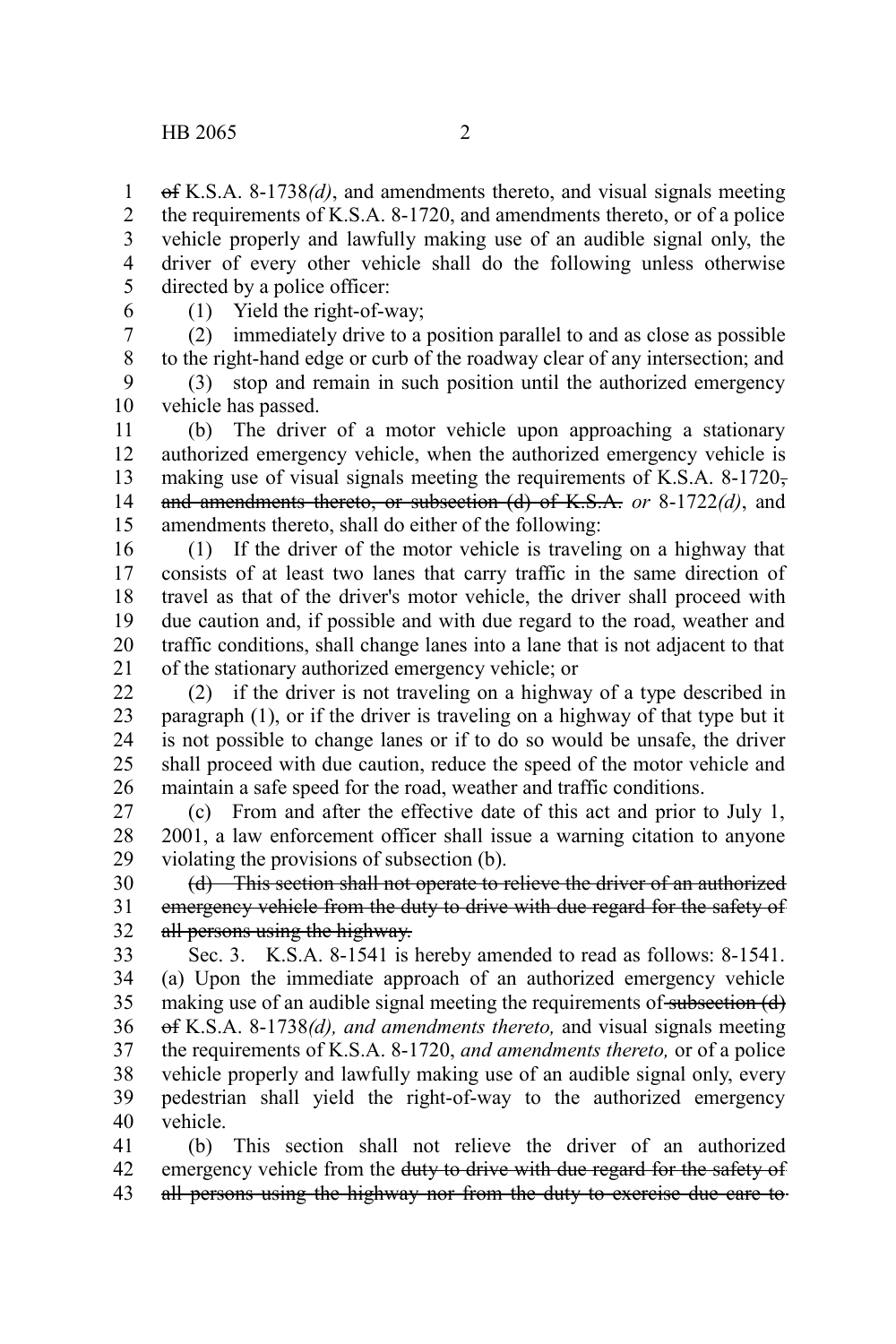of K.S.A. 8-1738*(d)*, and amendments thereto, and visual signals meeting the requirements of K.S.A. 8-1720, and amendments thereto, or of a police vehicle properly and lawfully making use of an audible signal only, the driver of every other vehicle shall do the following unless otherwise directed by a police officer: 1 2 3 4 5

6

(1) Yield the right-of-way;

(2) immediately drive to a position parallel to and as close as possible to the right-hand edge or curb of the roadway clear of any intersection; and (3) stop and remain in such position until the authorized emergency 7 8 9

vehicle has passed. 10

(b) The driver of a motor vehicle upon approaching a stationary authorized emergency vehicle, when the authorized emergency vehicle is making use of visual signals meeting the requirements of K.S.A. 8-1720, and amendments thereto, or subsection (d) of K.S.A. *or* 8-1722*(d)*, and amendments thereto, shall do either of the following: 11 12 13 14 15

(1) If the driver of the motor vehicle is traveling on a highway that consists of at least two lanes that carry traffic in the same direction of travel as that of the driver's motor vehicle, the driver shall proceed with due caution and, if possible and with due regard to the road, weather and traffic conditions, shall change lanes into a lane that is not adjacent to that of the stationary authorized emergency vehicle; or 16 17 18 19 20 21

(2) if the driver is not traveling on a highway of a type described in paragraph (1), or if the driver is traveling on a highway of that type but it is not possible to change lanes or if to do so would be unsafe, the driver shall proceed with due caution, reduce the speed of the motor vehicle and maintain a safe speed for the road, weather and traffic conditions. 22 23 24 25 26

(c) From and after the effective date of this act and prior to July 1, 2001, a law enforcement officer shall issue a warning citation to anyone violating the provisions of subsection (b). 27 28 29

(d) This section shall not operate to relieve the driver of an authorized emergency vehicle from the duty to drive with due regard for the safety of all persons using the highway. 30 31 32

Sec. 3. K.S.A. 8-1541 is hereby amended to read as follows: 8-1541. (a) Upon the immediate approach of an authorized emergency vehicle making use of an audible signal meeting the requirements of subsection (d) of K.S.A. 8-1738*(d), and amendments thereto,* and visual signals meeting the requirements of K.S.A. 8-1720, *and amendments thereto,* or of a police vehicle properly and lawfully making use of an audible signal only, every pedestrian shall yield the right-of-way to the authorized emergency vehicle. 33 34 35 36 37 38 39 40

(b) This section shall not relieve the driver of an authorized emergency vehicle from the duty to drive with due regard for the safety of all persons using the highway nor from the duty to exercise due care to 41 42 43